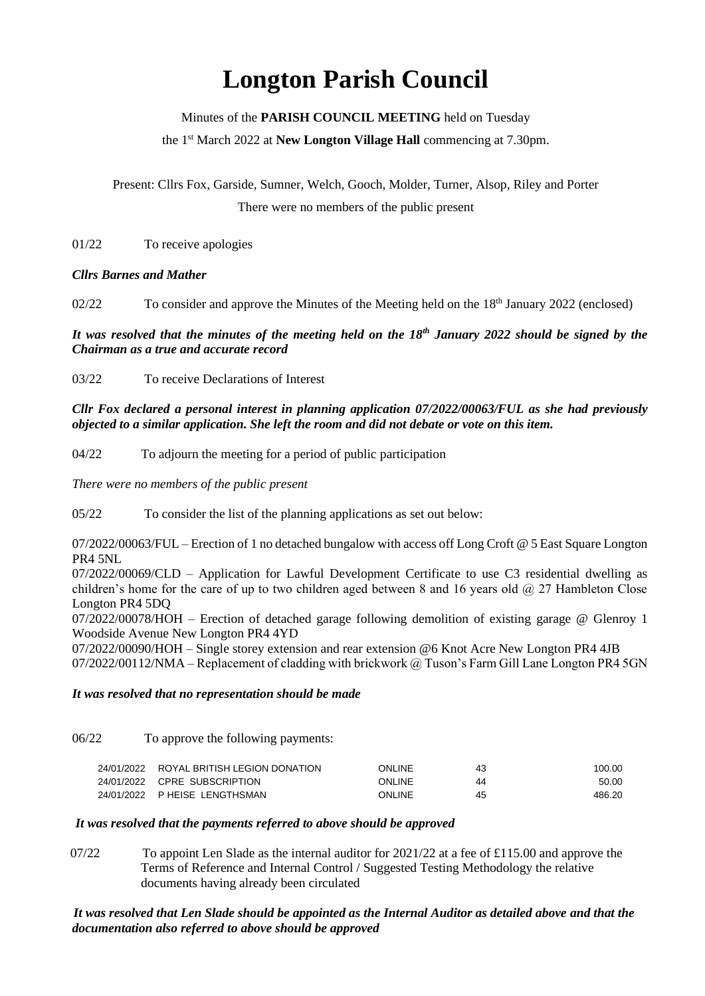# **Longton Parish Council**

Minutes of the **PARISH COUNCIL MEETING** held on Tuesday

the 1 st March 2022 at **New Longton Village Hall** commencing at 7.30pm.

Present: Cllrs Fox, Garside, Sumner, Welch, Gooch, Molder, Turner, Alsop, Riley and Porter There were no members of the public present

01/22 To receive apologies

*Cllrs Barnes and Mather*

02/22 To consider and approve the Minutes of the Meeting held on the 18<sup>th</sup> January 2022 (enclosed)

*It was resolved that the minutes of the meeting held on the 18th January 2022 should be signed by the Chairman as a true and accurate record*

03/22 To receive Declarations of Interest

*Cllr Fox declared a personal interest in planning application 07/2022/00063/FUL as she had previously objected to a similar application. She left the room and did not debate or vote on this item.*

04/22 To adjourn the meeting for a period of public participation

*There were no members of the public present*

05/22 To consider the list of the planning applications as set out below:

07/2022/00063/FUL – Erection of 1 no detached bungalow with access off Long Croft @ 5 East Square Longton PR4 5NL

07/2022/00069/CLD – Application for Lawful Development Certificate to use C3 residential dwelling as children's home for the care of up to two children aged between 8 and 16 years old  $\omega$  27 Hambleton Close Longton PR4 5DQ

07/2022/00078/HOH – Erection of detached garage following demolition of existing garage @ Glenroy 1 Woodside Avenue New Longton PR4 4YD

07/2022/00090/HOH – Single storey extension and rear extension @6 Knot Acre New Longton PR4 4JB 07/2022/00112/NMA – Replacement of cladding with brickwork @ Tuson's Farm Gill Lane Longton PR4 5GN

#### *It was resolved that no representation should be made*

06/22 To approve the following payments:

| 24/01/2022 ROYAL BRITISH LEGION DONATION | ONLINE  | 43 | 100.00 |
|------------------------------------------|---------|----|--------|
| 24/01/2022 CPRE SUBSCRIPTION             | ONI INF | 44 | 50.00  |
| 24/01/2022 P HEISE LENGTHSMAN            | ONLINE  | 45 | 486.20 |

#### *It was resolved that the payments referred to above should be approved*

 $07/22$  To appoint Len Slade as the internal auditor for 2021/22 at a fee of £115.00 and approve the Terms of Reference and Internal Control / Suggested Testing Methodology the relative documents having already been circulated

### *It was resolved that Len Slade should be appointed as the Internal Auditor as detailed above and that the documentation also referred to above should be approved*